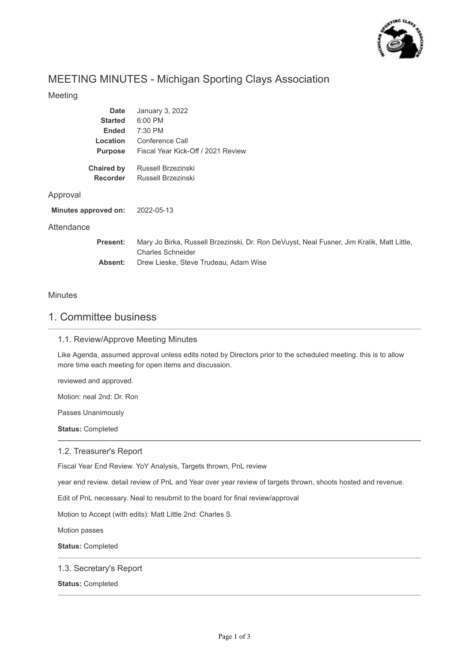

# MEETING MINUTES - Michigan Sporting Clays Association

## Meeting

| <b>Date</b>          | January 3, 2022                                                                                                       |
|----------------------|-----------------------------------------------------------------------------------------------------------------------|
| <b>Started</b>       | 6:00 PM                                                                                                               |
| <b>Ended</b>         | 7:30 PM                                                                                                               |
| <b>Location</b>      | Conference Call                                                                                                       |
| <b>Purpose</b>       | Fiscal Year Kick-Off / 2021 Review                                                                                    |
| <b>Chaired by</b>    | Russell Brzezinski                                                                                                    |
| <b>Recorder</b>      | Russell Brzezinski                                                                                                    |
| Approval             |                                                                                                                       |
| Minutes approved on: | 2022-05-13                                                                                                            |
| Attendance           |                                                                                                                       |
| <b>Present:</b>      | Mary Jo Birka, Russell Brzezinski, Dr. Ron DeVuyst, Neal Fusner, Jim Kralik, Matt Little,<br><b>Charles Schneider</b> |
| Absent:              | Drew Lieske, Steve Trudeau, Adam Wise                                                                                 |

## Minutes

# 1. Committee business

## 1.1. Review/Approve Meeting Minutes

Like Agenda, assumed approval unless edits noted by Directors prior to the scheduled meeting. this is to allow more time each meeting for open items and discussion.

reviewed and approved.

Motion: neal 2nd: Dr. Ron

Passes Unanimously

**Status:** Completed

#### 1.2. Treasurer's Report

Fiscal Year End Review. YoY Analysis, Targets thrown, PnL review

year end review. detail review of PnL and Year over year review of targets thrown, shoots hosted and revenue.

Edit of PnL necessary. Neal to resubmit to the board for final review/approval

Motion to Accept (with edits): Matt Little 2nd: Charles S.

Motion passes

**Status:** Completed

### 1.3. Secretary's Report

**Status:** Completed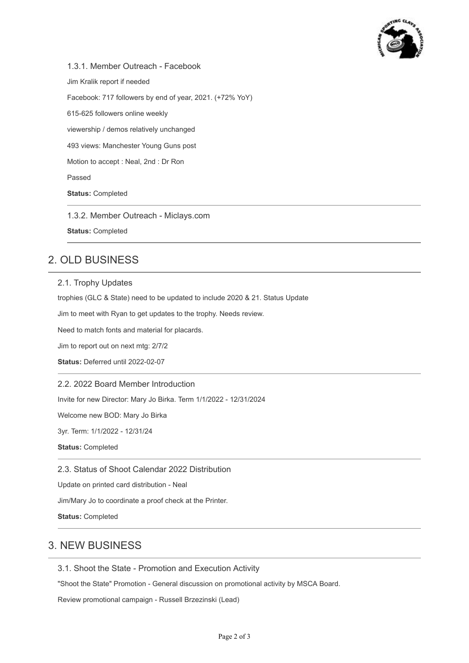

1.3.1. Member Outreach - Facebook Jim Kralik report if needed Facebook: 717 followers by end of year, 2021. (+72% YoY) 615-625 followers online weekly viewership / demos relatively unchanged 493 views: Manchester Young Guns post Motion to accept : Neal, 2nd : Dr Ron Passed **Status:** Completed

1.3.2. Member Outreach - Miclays.com

**Status:** Completed

# 2. OLD BUSINESS

### 2.1. Trophy Updates

trophies (GLC & State) need to be updated to include 2020 & 21. Status Update

Jim to meet with Ryan to get updates to the trophy. Needs review.

Need to match fonts and material for placards.

Jim to report out on next mtg: 2/7/2

**Status:** Deferred until 2022-02-07

## 2.2. 2022 Board Member Introduction

Invite for new Director: Mary Jo Birka. Term 1/1/2022 - 12/31/2024

Welcome new BOD: Mary Jo Birka

3yr. Term: 1/1/2022 - 12/31/24

**Status:** Completed

2.3. Status of Shoot Calendar 2022 Distribution

Update on printed card distribution - Neal

Jim/Mary Jo to coordinate a proof check at the Printer.

**Status:** Completed

# 3. NEW BUSINESS

3.1. Shoot the State - Promotion and Execution Activity

"Shoot the State" Promotion - General discussion on promotional activity by MSCA Board.

Review promotional campaign - Russell Brzezinski (Lead)